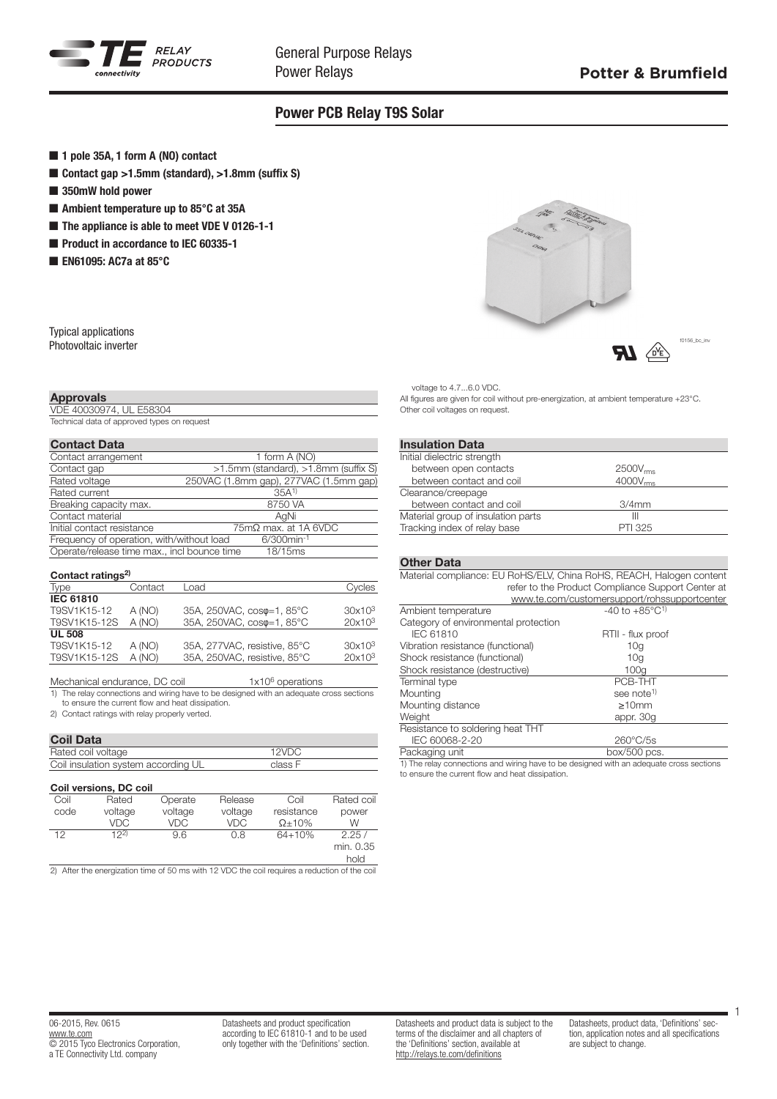

## Power PCB Relay T9S Solar

- 1 pole 35A, 1 form A (NO) contact
- Contact gap  $>1.5$ mm (standard),  $>1.8$ mm (suffix S)
- $\blacksquare$  350mW hold power
- $\blacksquare$  Ambient temperature up to 85 $^{\circ}$ C at 35A
- $\blacksquare$  The appliance is able to meet VDE V 0126-1-1
- Product in accordance to IEC 60335-1
- EN61095: AC7a at  $85^{\circ}$ C

| Typical applications  |
|-----------------------|
| Photovoltaic inverter |

## Approvals

VDE 40030974, UL E58304 Technical data of approved types on request

| <b>Contact Data</b> |  |
|---------------------|--|
|---------------------|--|

| Contact arrangement                         | 1 form A (NO)                          |
|---------------------------------------------|----------------------------------------|
| Contact gap                                 | >1.5mm (standard), >1.8mm (suffix S)   |
| Rated voltage                               | 250VAC (1.8mm gap), 277VAC (1.5mm gap) |
| Rated current                               | $35A^{1}$                              |
| Breaking capacity max.                      | 8750 VA                                |
| Contact material                            | AqNi                                   |
| Initial contact resistance                  | $75 \text{m}\Omega$ max, at 1A 6VDC    |
| Frequency of operation, with/without load   | $6/300$ min <sup>-1</sup>              |
| Operate/release time max., incl bounce time | 18/15 <sub>ms</sub>                    |

|  | Contact ratings <sup>2)</sup> |
|--|-------------------------------|
|--|-------------------------------|

| Type             | Contact | Load                                | Cycles             |
|------------------|---------|-------------------------------------|--------------------|
| <b>IEC 61810</b> |         |                                     |                    |
| T9SV1K15-12      | A (NO)  | 35A, 250VAC, cos $\varphi$ =1, 85°C | 30x10 <sup>3</sup> |
| T9SV1K15-12S     | A (NO)  | 35A, 250VAC, coso=1, 85°C           | $20x10^3$          |
| <b>UL 508</b>    |         |                                     |                    |
| T9SV1K15-12      | A (NO)  | 35A, 277VAC, resistive, 85°C        | 30x10 <sup>3</sup> |
| T9SV1K15-12S     | A (NO)  | 35A, 250VAC, resistive, 85°C        | $20x10^3$          |
|                  |         |                                     |                    |

Mechanical endurance, DC coil  $1 \times 10^6$  operations<br>1) The relay connections and wiring have to be designed with an adequate The relay connections and wiring have to be designed with an adequate cross sections to ensure the current flow and heat dissipation.

2) Contact ratings with relay properly verted.

## Coil Data

| Rated coil voltage                  |            |         |            | 12VDC          |            |  |
|-------------------------------------|------------|---------|------------|----------------|------------|--|
| Coil insulation system according UL |            |         | class F    |                |            |  |
| Coil versions, DC coil              |            |         |            |                |            |  |
| Coil                                | Rated      | Operate | Release    | Coil           | Rated coil |  |
| code                                | voltage    | voltage | voltage    | resistance     | power      |  |
|                                     | <b>VDC</b> | VDC     | <b>VDC</b> | $\Omega$ + 10% | w          |  |
| 12                                  | 122        | 9.6     | 0.8        | $64 + 10%$     | 2.25/      |  |
|                                     |            |         |            |                | min. 0.35  |  |
|                                     |            |         |            |                | hold       |  |

2) After the energization time of 50 ms with 12 VDC the coil requires a reduction of the coil



voltage to 4.7...6.0 VDC.

All figures are given for coil without pre-energization, at ambient temperature +23°C. Other coil voltages on request.

# Insulation Data

| Initial dielectric strength        |                      |
|------------------------------------|----------------------|
| between open contacts              | 2500V <sub>rms</sub> |
| between contact and coil           | 4000V <sub>rms</sub> |
| Clearance/creepage                 |                      |
| between contact and coil           | $3/4$ mm             |
| Material group of insulation parts | Ш                    |
| Tracking index of relay base       | <b>PTI 325</b>       |
|                                    |                      |

### Other Data

| Material compliance: EU RoHS/ELV, China RoHS, REACH, Halogen content |                                                   |  |  |  |  |
|----------------------------------------------------------------------|---------------------------------------------------|--|--|--|--|
|                                                                      | refer to the Product Compliance Support Center at |  |  |  |  |
|                                                                      | www.te.com/customersupport/rohssupportcenter      |  |  |  |  |
| Ambient temperature                                                  | $-40$ to $+85^{\circ}$ C <sup>1)</sup>            |  |  |  |  |
| Category of environmental protection                                 |                                                   |  |  |  |  |
| IEC 61810                                                            | RTII - flux proof                                 |  |  |  |  |
| Vibration resistance (functional)                                    | 10a                                               |  |  |  |  |
| Shock resistance (functional)                                        | 10 <sub>a</sub>                                   |  |  |  |  |
| Shock resistance (destructive)                                       | 100q                                              |  |  |  |  |
| Terminal type                                                        | PCB-THT                                           |  |  |  |  |
| Mounting                                                             | see note <sup>1)</sup>                            |  |  |  |  |
| Mounting distance                                                    | $\geq 10$ mm                                      |  |  |  |  |
| Weight                                                               | appr. 30g                                         |  |  |  |  |
| Resistance to soldering heat THT                                     |                                                   |  |  |  |  |
| IEC 60068-2-20                                                       | $260^{\circ}$ C/5s                                |  |  |  |  |
| Packaging unit                                                       | box/500 pcs.                                      |  |  |  |  |
|                                                                      |                                                   |  |  |  |  |

1) The relay connections and wiring have to be designed with an adequate cross sections to ensure the current flow and heat dissipation.

Datasheets and product specification according to IEC 61810-1 and to be used only together with the 'Definitions' section. Datasheets and product data is subject to the terms of the disclaimer and all chapters of the 'Definitions' section, available at http://relays.te.com/definitions

Datasheets, product data, 'Definitions' section, application notes and all specifications are subject to change.

1